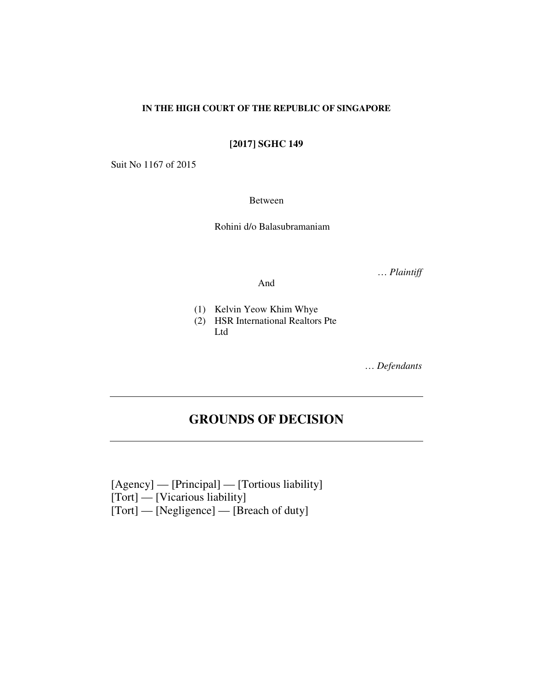# **IN THE HIGH COURT OF THE REPUBLIC OF SINGAPORE**

**[2017] SGHC 149** 

Suit No 1167 of 2015

Between

Rohini d/o Balasubramaniam

… *Plaintiff*

And

- (1) Kelvin Yeow Khim Whye
- (2) HSR International Realtors Pte Ltd

… *Defendants*

# **GROUNDS OF DECISION**

[Agency] — [Principal] — [Tortious liability] [Tort] — [Vicarious liability] [Tort] — [Negligence] — [Breach of duty]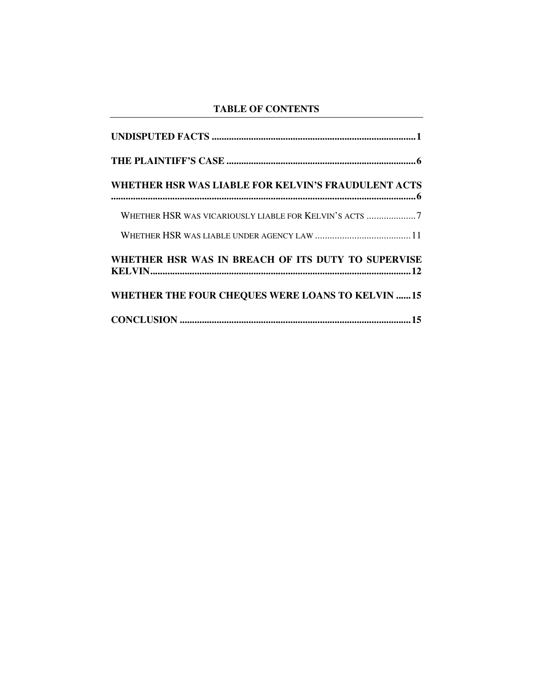# **TABLE OF CONTENTS**

| WHETHER HSR WAS LIABLE FOR KELVIN'S FRAUDULENT ACTS     |
|---------------------------------------------------------|
| WHETHER HSR WAS VICARIOUSLY LIABLE FOR KELVIN'S ACTS 7  |
|                                                         |
| WHETHER HSR WAS IN BREACH OF ITS DUTY TO SUPERVISE      |
| <b>WHETHER THE FOUR CHEQUES WERE LOANS TO KELVIN 15</b> |
|                                                         |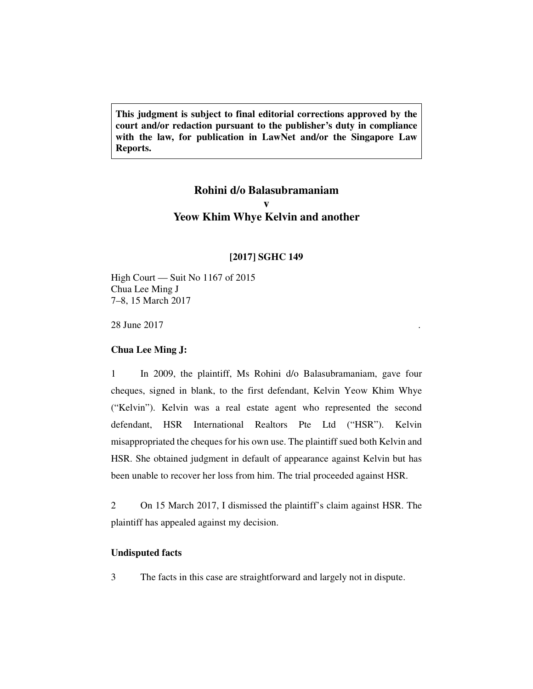**This judgment is subject to final editorial corrections approved by the court and/or redaction pursuant to the publisher's duty in compliance with the law, for publication in LawNet and/or the Singapore Law Reports.** 

# **Rohini d/o Balasubramaniam v Yeow Khim Whye Kelvin and another**

# **[2017] SGHC 149**

High Court — Suit No 1167 of 2015 Chua Lee Ming J 7–8, 15 March 2017

28 June 2017

# **Chua Lee Ming J:**

1 In 2009, the plaintiff, Ms Rohini d/o Balasubramaniam, gave four cheques, signed in blank, to the first defendant, Kelvin Yeow Khim Whye ("Kelvin"). Kelvin was a real estate agent who represented the second defendant, HSR International Realtors Pte Ltd ("HSR"). Kelvin misappropriated the cheques for his own use. The plaintiff sued both Kelvin and HSR. She obtained judgment in default of appearance against Kelvin but has been unable to recover her loss from him. The trial proceeded against HSR.

2 On 15 March 2017, I dismissed the plaintiff's claim against HSR. The plaintiff has appealed against my decision.

# **Undisputed facts**

3 The facts in this case are straightforward and largely not in dispute.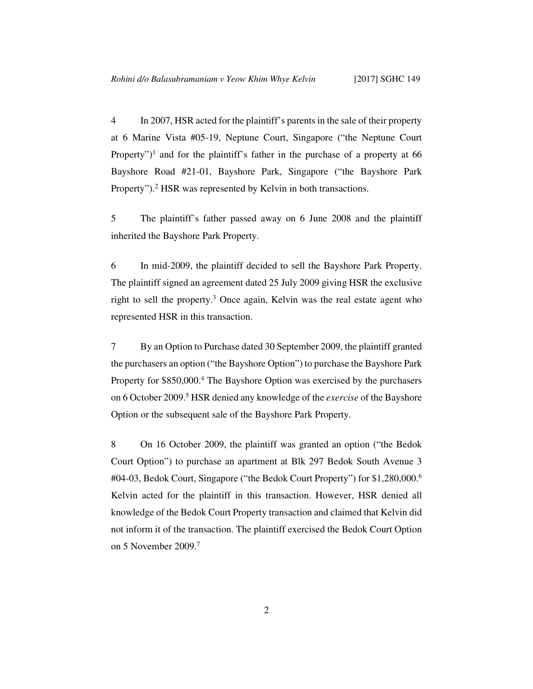4 In 2007, HSR acted for the plaintiff's parents in the sale of their property at 6 Marine Vista #05-19, Neptune Court, Singapore ("the Neptune Court Property")<sup>1</sup> and for the plaintiff's father in the purchase of a property at  $66$ Bayshore Road #21-01, Bayshore Park, Singapore ("the Bayshore Park Property").<sup>2</sup> HSR was represented by Kelvin in both transactions.

5 The plaintiff's father passed away on 6 June 2008 and the plaintiff inherited the Bayshore Park Property.

6 In mid-2009, the plaintiff decided to sell the Bayshore Park Property. The plaintiff signed an agreement dated 25 July 2009 giving HSR the exclusive right to sell the property.<sup>3</sup> Once again, Kelvin was the real estate agent who represented HSR in this transaction.

7 By an Option to Purchase dated 30 September 2009, the plaintiff granted the purchasers an option ("the Bayshore Option") to purchase the Bayshore Park Property for \$850,000.<sup>4</sup> The Bayshore Option was exercised by the purchasers on 6 October 2009.<sup>5</sup> HSR denied any knowledge of the *exercise* of the Bayshore Option or the subsequent sale of the Bayshore Park Property.

8 On 16 October 2009, the plaintiff was granted an option ("the Bedok Court Option") to purchase an apartment at Blk 297 Bedok South Avenue 3 #04-03, Bedok Court, Singapore ("the Bedok Court Property") for \$1,280,000.<sup>6</sup> Kelvin acted for the plaintiff in this transaction. However, HSR denied all knowledge of the Bedok Court Property transaction and claimed that Kelvin did not inform it of the transaction. The plaintiff exercised the Bedok Court Option on 5 November 2009.<sup>7</sup>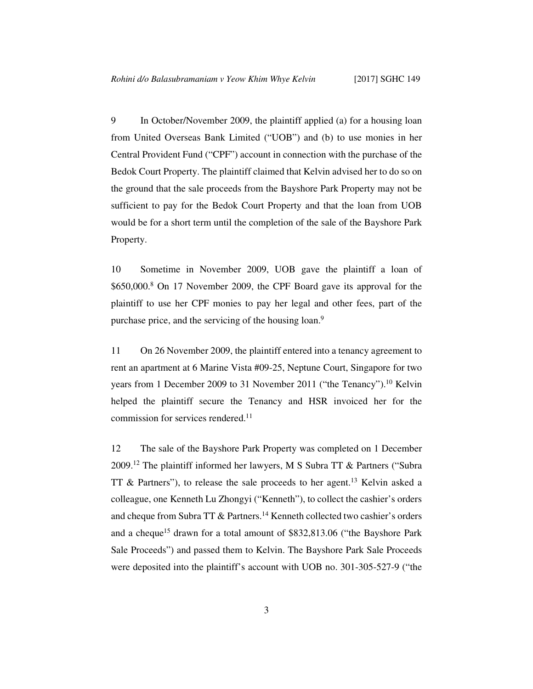9 In October/November 2009, the plaintiff applied (a) for a housing loan from United Overseas Bank Limited ("UOB") and (b) to use monies in her Central Provident Fund ("CPF") account in connection with the purchase of the Bedok Court Property. The plaintiff claimed that Kelvin advised her to do so on the ground that the sale proceeds from the Bayshore Park Property may not be sufficient to pay for the Bedok Court Property and that the loan from UOB would be for a short term until the completion of the sale of the Bayshore Park Property.

10 Sometime in November 2009, UOB gave the plaintiff a loan of \$650,000.<sup>8</sup> On 17 November 2009, the CPF Board gave its approval for the plaintiff to use her CPF monies to pay her legal and other fees, part of the purchase price, and the servicing of the housing loan.<sup>9</sup>

11 On 26 November 2009, the plaintiff entered into a tenancy agreement to rent an apartment at 6 Marine Vista #09-25, Neptune Court, Singapore for two years from 1 December 2009 to 31 November 2011 ("the Tenancy").<sup>10</sup> Kelvin helped the plaintiff secure the Tenancy and HSR invoiced her for the commission for services rendered.<sup>11</sup>

12 The sale of the Bayshore Park Property was completed on 1 December 2009.<sup>12</sup> The plaintiff informed her lawyers, M S Subra TT & Partners ("Subra TT & Partners"), to release the sale proceeds to her agent.<sup>13</sup> Kelvin asked a colleague, one Kenneth Lu Zhongyi ("Kenneth"), to collect the cashier's orders and cheque from Subra TT & Partners.<sup>14</sup> Kenneth collected two cashier's orders and a cheque<sup>15</sup> drawn for a total amount of \$832,813.06 ("the Bayshore Park" Sale Proceeds") and passed them to Kelvin. The Bayshore Park Sale Proceeds were deposited into the plaintiff's account with UOB no. 301-305-527-9 ("the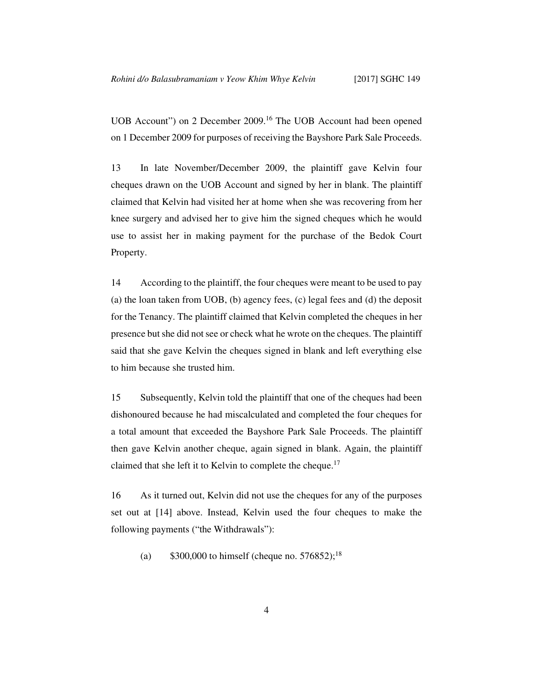UOB Account") on 2 December 2009.<sup>16</sup> The UOB Account had been opened on 1 December 2009 for purposes of receiving the Bayshore Park Sale Proceeds.

13 In late November/December 2009, the plaintiff gave Kelvin four cheques drawn on the UOB Account and signed by her in blank. The plaintiff claimed that Kelvin had visited her at home when she was recovering from her knee surgery and advised her to give him the signed cheques which he would use to assist her in making payment for the purchase of the Bedok Court Property.

14 According to the plaintiff, the four cheques were meant to be used to pay (a) the loan taken from UOB, (b) agency fees, (c) legal fees and (d) the deposit for the Tenancy. The plaintiff claimed that Kelvin completed the cheques in her presence but she did not see or check what he wrote on the cheques. The plaintiff said that she gave Kelvin the cheques signed in blank and left everything else to him because she trusted him.

15 Subsequently, Kelvin told the plaintiff that one of the cheques had been dishonoured because he had miscalculated and completed the four cheques for a total amount that exceeded the Bayshore Park Sale Proceeds. The plaintiff then gave Kelvin another cheque, again signed in blank. Again, the plaintiff claimed that she left it to Kelvin to complete the cheque.<sup>17</sup>

16 As it turned out, Kelvin did not use the cheques for any of the purposes set out at [14] above. Instead, Kelvin used the four cheques to make the following payments ("the Withdrawals"):

(a)  $$300,000$  to himself (cheque no. 576852);<sup>18</sup>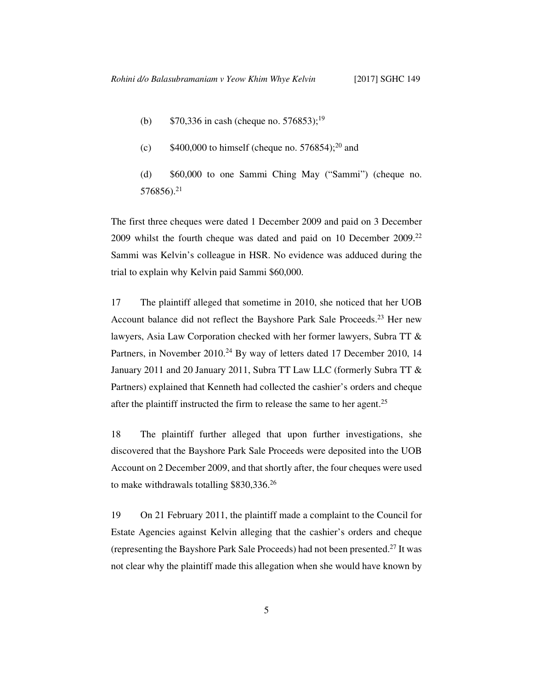- (b)  $$70,336$  in cash (cheque no. 576853);<sup>19</sup>
- (c)  $$400,000$  to himself (cheque no. 576854);<sup>20</sup> and

(d) \$60,000 to one Sammi Ching May ("Sammi") (cheque no. 576856).<sup>21</sup>

The first three cheques were dated 1 December 2009 and paid on 3 December 2009 whilst the fourth cheque was dated and paid on 10 December 2009.<sup>22</sup> Sammi was Kelvin's colleague in HSR. No evidence was adduced during the trial to explain why Kelvin paid Sammi \$60,000.

17 The plaintiff alleged that sometime in 2010, she noticed that her UOB Account balance did not reflect the Bayshore Park Sale Proceeds.<sup>23</sup> Her new lawyers, Asia Law Corporation checked with her former lawyers, Subra TT & Partners, in November 2010.<sup>24</sup> By way of letters dated 17 December 2010, 14 January 2011 and 20 January 2011, Subra TT Law LLC (formerly Subra TT & Partners) explained that Kenneth had collected the cashier's orders and cheque after the plaintiff instructed the firm to release the same to her agent.<sup>25</sup>

18 The plaintiff further alleged that upon further investigations, she discovered that the Bayshore Park Sale Proceeds were deposited into the UOB Account on 2 December 2009, and that shortly after, the four cheques were used to make withdrawals totalling \$830,336.<sup>26</sup>

19 On 21 February 2011, the plaintiff made a complaint to the Council for Estate Agencies against Kelvin alleging that the cashier's orders and cheque (representing the Bayshore Park Sale Proceeds) had not been presented.<sup>27</sup> It was not clear why the plaintiff made this allegation when she would have known by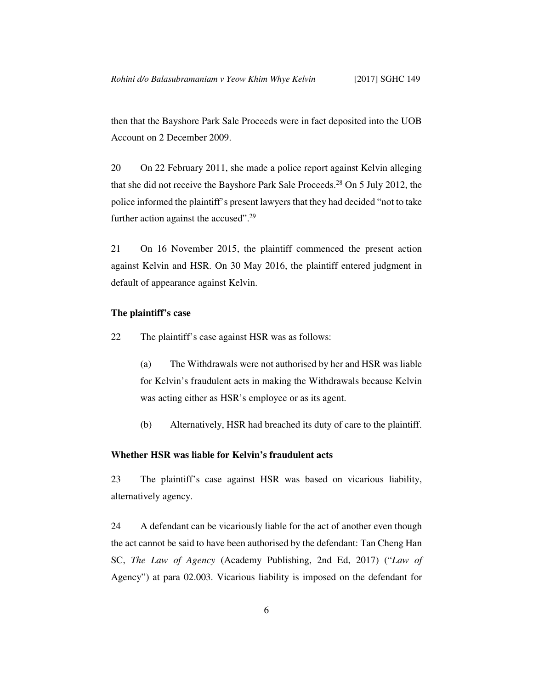then that the Bayshore Park Sale Proceeds were in fact deposited into the UOB Account on 2 December 2009.

20 On 22 February 2011, she made a police report against Kelvin alleging that she did not receive the Bayshore Park Sale Proceeds.<sup>28</sup> On 5 July 2012, the police informed the plaintiff's present lawyers that they had decided "not to take further action against the accused".<sup>29</sup>

21 On 16 November 2015, the plaintiff commenced the present action against Kelvin and HSR. On 30 May 2016, the plaintiff entered judgment in default of appearance against Kelvin.

# **The plaintiff's case**

22 The plaintiff's case against HSR was as follows:

(a) The Withdrawals were not authorised by her and HSR was liable for Kelvin's fraudulent acts in making the Withdrawals because Kelvin was acting either as HSR's employee or as its agent.

(b) Alternatively, HSR had breached its duty of care to the plaintiff.

## **Whether HSR was liable for Kelvin's fraudulent acts**

23 The plaintiff's case against HSR was based on vicarious liability, alternatively agency.

24 A defendant can be vicariously liable for the act of another even though the act cannot be said to have been authorised by the defendant: Tan Cheng Han SC, *The Law of Agency* (Academy Publishing, 2nd Ed, 2017) ("*Law of*  Agency") at para 02.003. Vicarious liability is imposed on the defendant for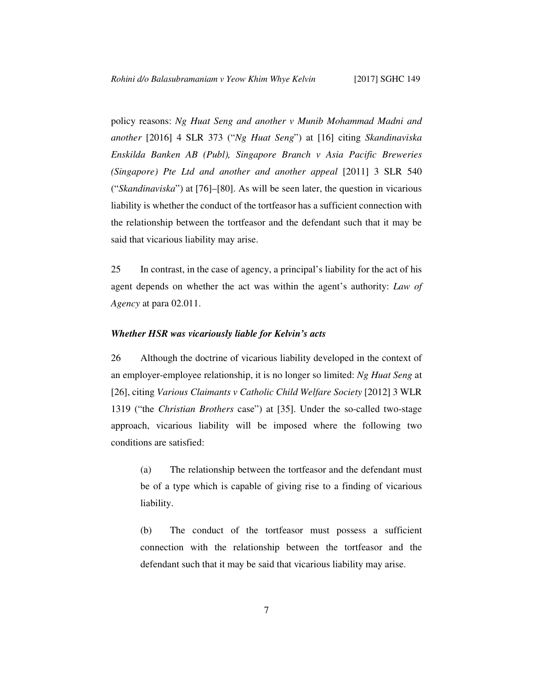policy reasons: *Ng Huat Seng and another v Munib Mohammad Madni and another* [2016] 4 SLR 373 ("*Ng Huat Seng*") at [16] citing *Skandinaviska Enskilda Banken AB (Publ), Singapore Branch v Asia Pacific Breweries (Singapore) Pte Ltd and another and another appeal* [2011] 3 SLR 540 ("*Skandinaviska*") at [76]–[80]. As will be seen later, the question in vicarious liability is whether the conduct of the tortfeasor has a sufficient connection with the relationship between the tortfeasor and the defendant such that it may be said that vicarious liability may arise.

25 In contrast, in the case of agency, a principal's liability for the act of his agent depends on whether the act was within the agent's authority: *Law of Agency* at para 02.011.

# *Whether HSR was vicariously liable for Kelvin's acts*

26 Although the doctrine of vicarious liability developed in the context of an employer-employee relationship, it is no longer so limited: *Ng Huat Seng* at [26], citing *Various Claimants v Catholic Child Welfare Society* [2012] 3 WLR 1319 ("the *Christian Brothers* case") at [35]. Under the so-called two-stage approach, vicarious liability will be imposed where the following two conditions are satisfied:

(a) The relationship between the tortfeasor and the defendant must be of a type which is capable of giving rise to a finding of vicarious liability.

(b) The conduct of the tortfeasor must possess a sufficient connection with the relationship between the tortfeasor and the defendant such that it may be said that vicarious liability may arise.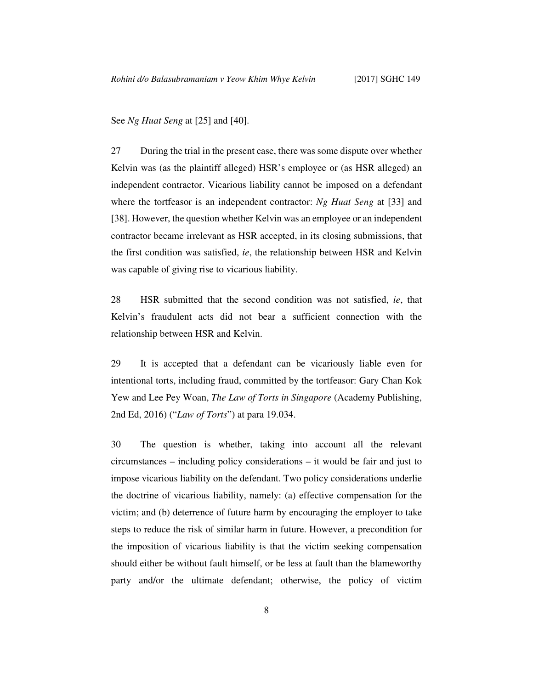See *Ng Huat Seng* at [25] and [40].

27 During the trial in the present case, there was some dispute over whether Kelvin was (as the plaintiff alleged) HSR's employee or (as HSR alleged) an independent contractor. Vicarious liability cannot be imposed on a defendant where the tortfeasor is an independent contractor: *Ng Huat Seng* at [33] and [38]. However, the question whether Kelvin was an employee or an independent contractor became irrelevant as HSR accepted, in its closing submissions, that the first condition was satisfied, *ie*, the relationship between HSR and Kelvin was capable of giving rise to vicarious liability.

28 HSR submitted that the second condition was not satisfied, *ie*, that Kelvin's fraudulent acts did not bear a sufficient connection with the relationship between HSR and Kelvin.

29 It is accepted that a defendant can be vicariously liable even for intentional torts, including fraud, committed by the tortfeasor: Gary Chan Kok Yew and Lee Pey Woan, *The Law of Torts in Singapore* (Academy Publishing, 2nd Ed, 2016) ("*Law of Torts*") at para 19.034.

30 The question is whether, taking into account all the relevant circumstances – including policy considerations – it would be fair and just to impose vicarious liability on the defendant. Two policy considerations underlie the doctrine of vicarious liability, namely: (a) effective compensation for the victim; and (b) deterrence of future harm by encouraging the employer to take steps to reduce the risk of similar harm in future. However, a precondition for the imposition of vicarious liability is that the victim seeking compensation should either be without fault himself, or be less at fault than the blameworthy party and/or the ultimate defendant; otherwise, the policy of victim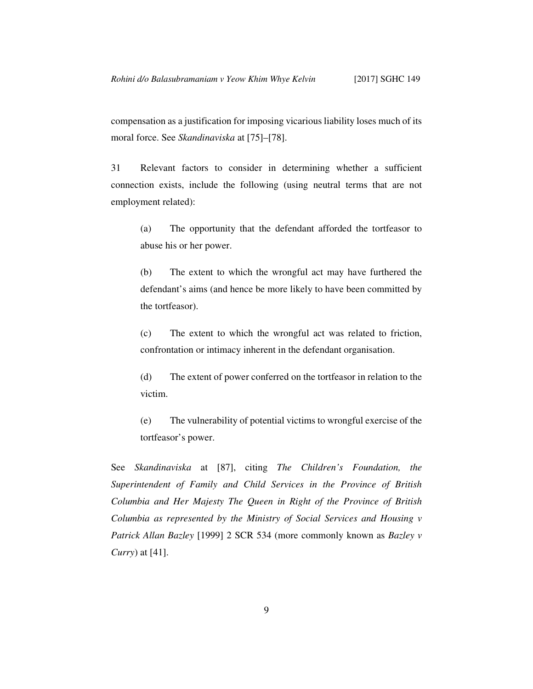compensation as a justification for imposing vicarious liability loses much of its moral force. See *Skandinaviska* at [75]–[78].

31 Relevant factors to consider in determining whether a sufficient connection exists, include the following (using neutral terms that are not employment related):

(a) The opportunity that the defendant afforded the tortfeasor to abuse his or her power.

(b) The extent to which the wrongful act may have furthered the defendant's aims (and hence be more likely to have been committed by the tortfeasor).

(c) The extent to which the wrongful act was related to friction, confrontation or intimacy inherent in the defendant organisation.

(d) The extent of power conferred on the tortfeasor in relation to the victim.

(e) The vulnerability of potential victims to wrongful exercise of the tortfeasor's power.

See *Skandinaviska* at [87], citing *The Children's Foundation, the Superintendent of Family and Child Services in the Province of British Columbia and Her Majesty The Queen in Right of the Province of British Columbia as represented by the Ministry of Social Services and Housing v Patrick Allan Bazley* [1999] 2 SCR 534 (more commonly known as *Bazley v Curry*) at [41].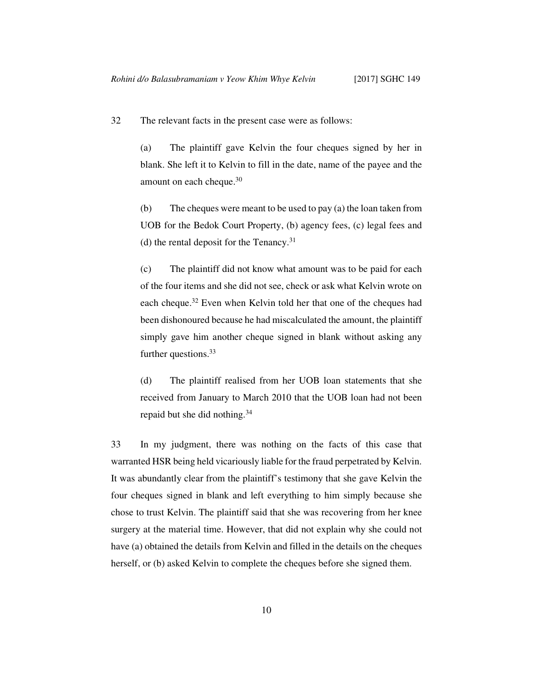32 The relevant facts in the present case were as follows:

(a) The plaintiff gave Kelvin the four cheques signed by her in blank. She left it to Kelvin to fill in the date, name of the payee and the amount on each cheque.<sup>30</sup>

(b) The cheques were meant to be used to pay (a) the loan taken from UOB for the Bedok Court Property, (b) agency fees, (c) legal fees and (d) the rental deposit for the Tenancy. $31$ 

(c) The plaintiff did not know what amount was to be paid for each of the four items and she did not see, check or ask what Kelvin wrote on each cheque.<sup>32</sup> Even when Kelvin told her that one of the cheques had been dishonoured because he had miscalculated the amount, the plaintiff simply gave him another cheque signed in blank without asking any further questions.<sup>33</sup>

(d) The plaintiff realised from her UOB loan statements that she received from January to March 2010 that the UOB loan had not been repaid but she did nothing.<sup>34</sup>

33 In my judgment, there was nothing on the facts of this case that warranted HSR being held vicariously liable for the fraud perpetrated by Kelvin. It was abundantly clear from the plaintiff's testimony that she gave Kelvin the four cheques signed in blank and left everything to him simply because she chose to trust Kelvin. The plaintiff said that she was recovering from her knee surgery at the material time. However, that did not explain why she could not have (a) obtained the details from Kelvin and filled in the details on the cheques herself, or (b) asked Kelvin to complete the cheques before she signed them.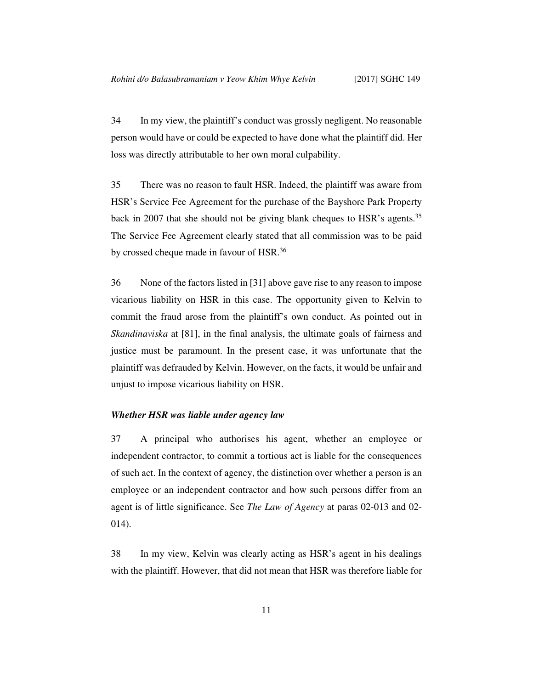34 In my view, the plaintiff's conduct was grossly negligent. No reasonable person would have or could be expected to have done what the plaintiff did. Her loss was directly attributable to her own moral culpability.

35 There was no reason to fault HSR. Indeed, the plaintiff was aware from HSR's Service Fee Agreement for the purchase of the Bayshore Park Property back in 2007 that she should not be giving blank cheques to HSR's agents.<sup>35</sup> The Service Fee Agreement clearly stated that all commission was to be paid by crossed cheque made in favour of HSR.<sup>36</sup>

36 None of the factors listed in [31] above gave rise to any reason to impose vicarious liability on HSR in this case. The opportunity given to Kelvin to commit the fraud arose from the plaintiff's own conduct. As pointed out in *Skandinaviska* at [81], in the final analysis, the ultimate goals of fairness and justice must be paramount. In the present case, it was unfortunate that the plaintiff was defrauded by Kelvin. However, on the facts, it would be unfair and unjust to impose vicarious liability on HSR.

# *Whether HSR was liable under agency law*

37 A principal who authorises his agent, whether an employee or independent contractor, to commit a tortious act is liable for the consequences of such act. In the context of agency, the distinction over whether a person is an employee or an independent contractor and how such persons differ from an agent is of little significance. See *The Law of Agency* at paras 02-013 and 02- 014).

38 In my view, Kelvin was clearly acting as HSR's agent in his dealings with the plaintiff. However, that did not mean that HSR was therefore liable for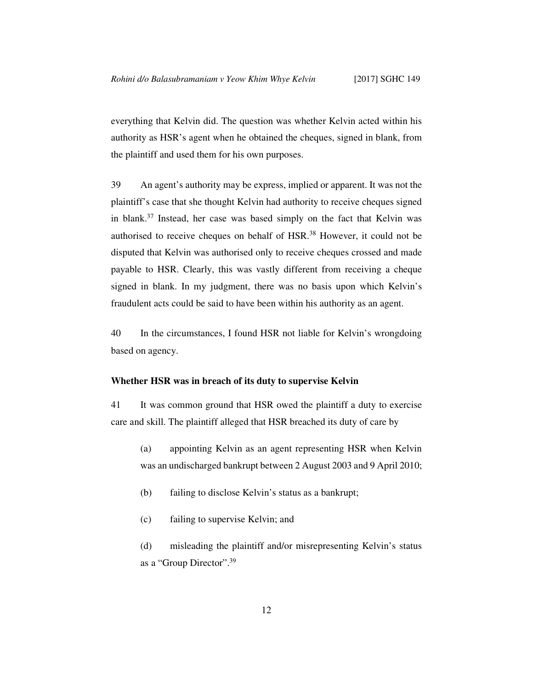everything that Kelvin did. The question was whether Kelvin acted within his authority as HSR's agent when he obtained the cheques, signed in blank, from the plaintiff and used them for his own purposes.

39 An agent's authority may be express, implied or apparent. It was not the plaintiff's case that she thought Kelvin had authority to receive cheques signed in blank.<sup>37</sup> Instead, her case was based simply on the fact that Kelvin was authorised to receive cheques on behalf of HSR.<sup>38</sup> However, it could not be disputed that Kelvin was authorised only to receive cheques crossed and made payable to HSR. Clearly, this was vastly different from receiving a cheque signed in blank. In my judgment, there was no basis upon which Kelvin's fraudulent acts could be said to have been within his authority as an agent.

40 In the circumstances, I found HSR not liable for Kelvin's wrongdoing based on agency.

#### **Whether HSR was in breach of its duty to supervise Kelvin**

41 It was common ground that HSR owed the plaintiff a duty to exercise care and skill. The plaintiff alleged that HSR breached its duty of care by

- (a) appointing Kelvin as an agent representing HSR when Kelvin was an undischarged bankrupt between 2 August 2003 and 9 April 2010;
- (b) failing to disclose Kelvin's status as a bankrupt;
- (c) failing to supervise Kelvin; and

(d) misleading the plaintiff and/or misrepresenting Kelvin's status as a "Group Director".39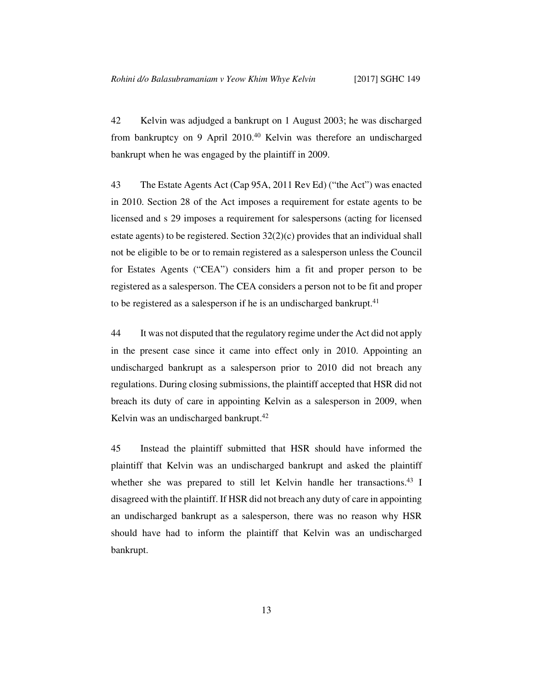42 Kelvin was adjudged a bankrupt on 1 August 2003; he was discharged from bankruptcy on 9 April 2010.<sup>40</sup> Kelvin was therefore an undischarged bankrupt when he was engaged by the plaintiff in 2009.

43 The Estate Agents Act (Cap 95A, 2011 Rev Ed) ("the Act") was enacted in 2010. Section 28 of the Act imposes a requirement for estate agents to be licensed and s 29 imposes a requirement for salespersons (acting for licensed estate agents) to be registered. Section 32(2)(c) provides that an individual shall not be eligible to be or to remain registered as a salesperson unless the Council for Estates Agents ("CEA") considers him a fit and proper person to be registered as a salesperson. The CEA considers a person not to be fit and proper to be registered as a salesperson if he is an undischarged bankrupt.<sup>41</sup>

44 It was not disputed that the regulatory regime under the Act did not apply in the present case since it came into effect only in 2010. Appointing an undischarged bankrupt as a salesperson prior to 2010 did not breach any regulations. During closing submissions, the plaintiff accepted that HSR did not breach its duty of care in appointing Kelvin as a salesperson in 2009, when Kelvin was an undischarged bankrupt.<sup>42</sup>

45 Instead the plaintiff submitted that HSR should have informed the plaintiff that Kelvin was an undischarged bankrupt and asked the plaintiff whether she was prepared to still let Kelvin handle her transactions.<sup>43</sup> I disagreed with the plaintiff. If HSR did not breach any duty of care in appointing an undischarged bankrupt as a salesperson, there was no reason why HSR should have had to inform the plaintiff that Kelvin was an undischarged bankrupt.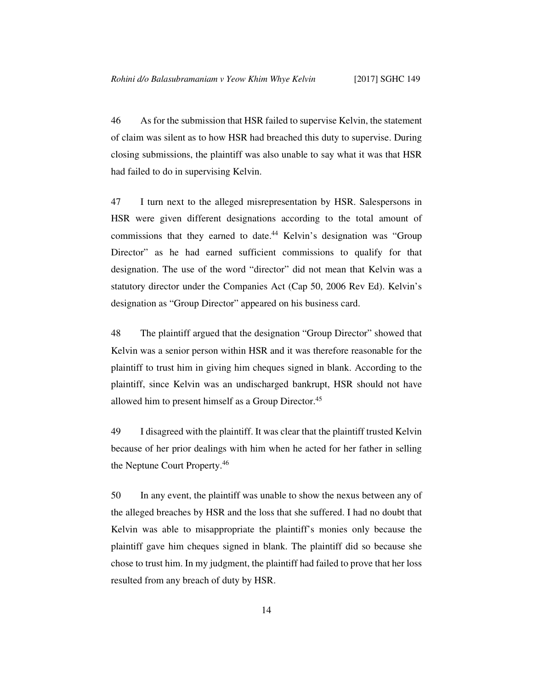46 As for the submission that HSR failed to supervise Kelvin, the statement of claim was silent as to how HSR had breached this duty to supervise. During closing submissions, the plaintiff was also unable to say what it was that HSR had failed to do in supervising Kelvin.

47 I turn next to the alleged misrepresentation by HSR. Salespersons in HSR were given different designations according to the total amount of commissions that they earned to date.<sup>44</sup> Kelvin's designation was "Group" Director" as he had earned sufficient commissions to qualify for that designation. The use of the word "director" did not mean that Kelvin was a statutory director under the Companies Act (Cap 50, 2006 Rev Ed). Kelvin's designation as "Group Director" appeared on his business card.

48 The plaintiff argued that the designation "Group Director" showed that Kelvin was a senior person within HSR and it was therefore reasonable for the plaintiff to trust him in giving him cheques signed in blank. According to the plaintiff, since Kelvin was an undischarged bankrupt, HSR should not have allowed him to present himself as a Group Director.<sup>45</sup>

49 I disagreed with the plaintiff. It was clear that the plaintiff trusted Kelvin because of her prior dealings with him when he acted for her father in selling the Neptune Court Property.<sup>46</sup>

50 In any event, the plaintiff was unable to show the nexus between any of the alleged breaches by HSR and the loss that she suffered. I had no doubt that Kelvin was able to misappropriate the plaintiff's monies only because the plaintiff gave him cheques signed in blank. The plaintiff did so because she chose to trust him. In my judgment, the plaintiff had failed to prove that her loss resulted from any breach of duty by HSR.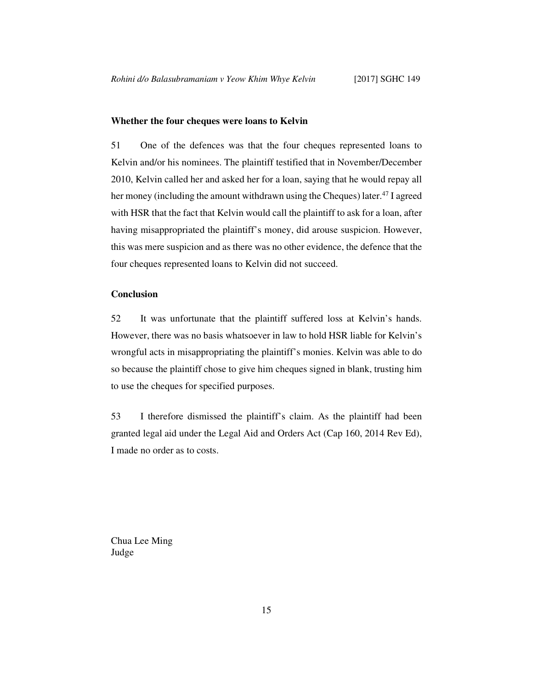#### **Whether the four cheques were loans to Kelvin**

51 One of the defences was that the four cheques represented loans to Kelvin and/or his nominees. The plaintiff testified that in November/December 2010, Kelvin called her and asked her for a loan, saying that he would repay all her money (including the amount withdrawn using the Cheques) later.<sup>47</sup> I agreed with HSR that the fact that Kelvin would call the plaintiff to ask for a loan, after having misappropriated the plaintiff's money, did arouse suspicion. However, this was mere suspicion and as there was no other evidence, the defence that the four cheques represented loans to Kelvin did not succeed.

# **Conclusion**

52 It was unfortunate that the plaintiff suffered loss at Kelvin's hands. However, there was no basis whatsoever in law to hold HSR liable for Kelvin's wrongful acts in misappropriating the plaintiff's monies. Kelvin was able to do so because the plaintiff chose to give him cheques signed in blank, trusting him to use the cheques for specified purposes.

53 I therefore dismissed the plaintiff's claim. As the plaintiff had been granted legal aid under the Legal Aid and Orders Act (Cap 160, 2014 Rev Ed), I made no order as to costs.

Chua Lee Ming Judge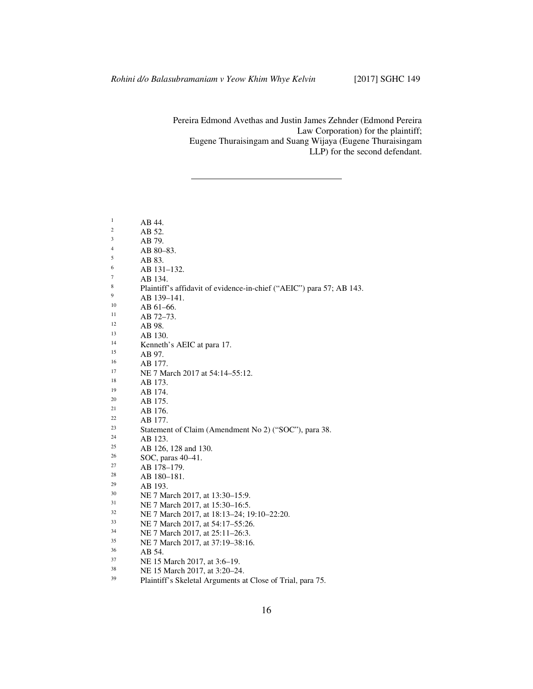Pereira Edmond Avethas and Justin James Zehnder (Edmond Pereira Law Corporation) for the plaintiff; Eugene Thuraisingam and Suang Wijaya (Eugene Thuraisingam LLP) for the second defendant.

| $\mathbf{1}$ | AB 44.                                                               |
|--------------|----------------------------------------------------------------------|
| 2            | AB 52.                                                               |
| 3            | AB 79.                                                               |
| 4            | AB 80-83.                                                            |
| 5            | AB 83.                                                               |
| 6            | AB 131-132.                                                          |
| 7            | AB 134.                                                              |
| 8            | Plaintiff's affidavit of evidence-in-chief ("AEIC") para 57; AB 143. |
| 9            | AB 139-141.                                                          |
| 10           | AB 61-66.                                                            |
| 11           | AB 72-73.                                                            |
| 12           | AB 98.                                                               |
| 13           | AB 130.                                                              |
| 14           | Kenneth's AEIC at para 17.                                           |
| 15           | AB 97.                                                               |
| 16           | AB 177.                                                              |
| 17           | NE 7 March 2017 at 54:14–55:12.                                      |
| 18           | AB 173.                                                              |
| 19           | AB 174.                                                              |
| 20           | AB 175.                                                              |
| 21           | AB 176.                                                              |
| 22           | AB 177.                                                              |
| 23           | Statement of Claim (Amendment No 2) ("SOC"), para 38.                |
| 24           | AB 123.                                                              |
| 25           | AB 126, 128 and 130.                                                 |
| 26           | SOC, paras 40–41.                                                    |
| 27           | AB 178-179.                                                          |
| 28           | AB 180-181.                                                          |
| 29           | AB 193.                                                              |
| 30           | NE 7 March 2017, at 13:30–15:9.                                      |
| 31           | NE 7 March 2017, at 15:30-16:5.                                      |
| 32           | NE 7 March 2017, at 18:13-24; 19:10-22:20.                           |
| 33           | NE 7 March 2017, at 54:17-55:26.                                     |
| 34           | NE 7 March 2017, at 25:11-26:3.                                      |
| 35           | NE 7 March 2017, at 37:19-38:16.                                     |
| 36           | AB 54.                                                               |
| 37           | NE 15 March 2017, at 3:6–19.                                         |
| 38           | NE 15 Morah 2017 of 2.20 24                                          |

 $\frac{38}{39}$  NE 15 March 2017, at 3:20–24.<br>Blaintiff's Skeletal Arguments a Plaintiff's Skeletal Arguments at Close of Trial, para 75.